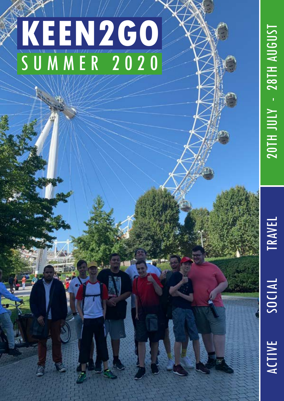# **KEEN2GO** SUMMER 2020

**TRAVEL** 

SOCIAL ACTIVE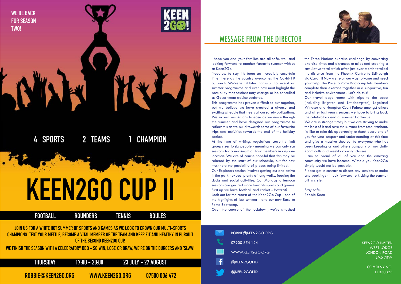### MESSAGE FROM THE DIRECTOR

KEEN2GO LIMITED WEST LODGE LONDON ROAD SM6 7BW

> COMPANY NO. 11330823

I hope you and your families are all safe, well and looking forward to another fantastic summer with us at Keen2Go.

Needless to say it's been an incredibly uncertain time here as the country overcomes the Covid-19 outbreak. We've left it later than usual to reveal our summer programme and even now must highight the possibility that sessions may change or be cancelled as Government advice updates.

This programme has proven difficult to put together, but we believe we have created a diverse and exciting schedule that meets all our safety obligations. We expect restrictions to ease as we move through the summer and have designed our programme to reflect this as we build towards some of our favourite trips and activities towards the end of the holiday period.

At the time of writing, regulations currently limit group sizes to six people - meaning we can only run sessions for a maximum of four members in any one location. We are of course hopeful that this may be relaxed by the start of our schedule, but for now must note the possibility of places being limited.

Our Explorers session involves getting out and active in the park - expect plenty of long walks, feeding the ducks and social activities. Our Monday afternoon sessions are geared more towards sports and games. First up we have football and cricket - Howzat?! Look out for the return of the Keen2Go Cup - one of the highlights of last summer - and our new Race to Rome Bootcamp.

Over the course of the lockdown, we've smashed

the Three Nations exercise challenge by converting exercise times and distances to miles and creating a cumulative total which after just over month totalled the distance from the Phoenix Centre to Edinburgh via Cardiff! Now we're on our way to Rome and need your help. The Race to Rome Bootcamp lets members complete their exercise together in a supportive, fun and inclusive environment - Let's do this!

Our travel days return with trips to the coast (including Brighton and Littlehampton), Legoland Windsor and Hampton Court Palace amongst others and after last year's success we hope to bring back the celebratory end of summer barbecue.

We are in strange times, but we are striving to make the best of it and save the summer from total washout. I'd like to take this opportunity to thank every one of you for your support and understanding at this time and give a massive shoutout to everyone who has been keeping us and others company on our daily Zoom calls and weekly cooking classes.

I am so proud of all of you and the amazing community we have become. Without you Keen2Go simply would not be possible.

Please get in contact to discuss any sessions or make any bookings - I look forward to kicking the summer off in style.

Stay safe, Robbie Keen

|          | ROBBIE@KEEN2GO.ORG |
|----------|--------------------|
|          | 07900 854 124      |
|          | WWW.KEEN2GO.ORG    |
| <b>A</b> | @KEEN2GOLTD        |
|          | @KEEN2GOLTD        |



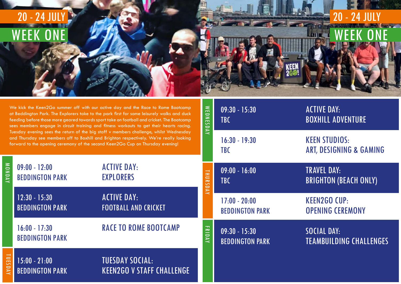### WEEK ONE 20 - 24 JULY

ACTIVE DAY: BOXHILL ADVENTURE

KEEN STUDIOS: ART, DESIGNING & GAMING

TRAVEL DAY: BRIGHTON (BEACH ONLY)

KEEN2GO CUP: OPENING CEREMONY

SOCIAL DAY: TEAMBUILDING CHALLENGES

|                | 20 - 24 JUL<br>WFFKO                                                           |                                                                                                                                                                                                                                                                                                                                                                                                                                                                   |                                                       |                                           |
|----------------|--------------------------------------------------------------------------------|-------------------------------------------------------------------------------------------------------------------------------------------------------------------------------------------------------------------------------------------------------------------------------------------------------------------------------------------------------------------------------------------------------------------------------------------------------------------|-------------------------------------------------------|-------------------------------------------|
|                |                                                                                | We kick the Keen2Go summer off with our active day and the Race to Rome Bootcamp<br>at Beddington Park. The Explorers take to the park first for some leisurely walks and duck<br>feeding before those more geared towards sport take on football and cricket. The Bootcamp<br>sees members engage in circuit training and fitness workouts to get their hearts racing.<br>Tuesday evening sees the return of the big staff v members challenge, whilst Wednesday | <b>WEDN</b><br>$\overline{1}$<br>$\sum$<br><b>DAY</b> | $09:30 - 15:30$<br><b>TBC</b>             |
|                | forward to the opening ceremony of the second Keen2Go Cup on Thursday evening! | and Thursday see members off to Boxhill and Brighton respectively. We're really looking                                                                                                                                                                                                                                                                                                                                                                           |                                                       | $16:30 - 19:30$<br><b>TBC</b>             |
| MONDAY         | $09:00 - 12:00$<br><b>BEDDINGTON PARK</b>                                      | <b>ACTIVE DAY:</b><br><b>EXPLORERS</b>                                                                                                                                                                                                                                                                                                                                                                                                                            | <b>THURS</b><br><b>DAY</b>                            | $09:00 - 16:00$<br><b>TBC</b>             |
|                | $12:30 - 15:30$<br><b>BEDDINGTON PARK</b>                                      | ACTIVE DAY:<br><b>FOOTBALL AND CRICKET</b>                                                                                                                                                                                                                                                                                                                                                                                                                        |                                                       | $17:00 - 20:00$<br><b>BEDDINGTON PARK</b> |
|                | $16:00 - 17:30$<br><b>BEDDINGTON PARK</b>                                      | <b>RACE TO ROME BOOTCAMP</b>                                                                                                                                                                                                                                                                                                                                                                                                                                      | FRID<br>$\overline{\mathsf{Y}}$                       | $09:30 - 15:30$<br><b>BEDDINGTON PARK</b> |
| <b>TUESDAY</b> | $15:00 - 21:00$<br><b>BEDDINGTON PARK</b>                                      | <b>TUESDAY SOCIAL:</b><br><b>KEEN2GO V STAFF CHALLENGE</b>                                                                                                                                                                                                                                                                                                                                                                                                        |                                                       |                                           |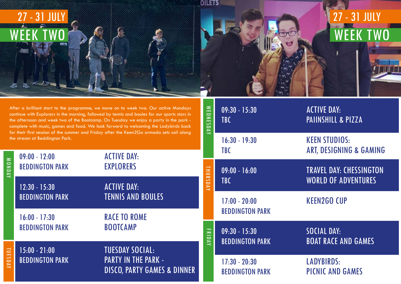09:30 - 15:30 ACTIVE DAY: TBC PAIINSHILL & PIZZA

### KEEN STUDIOS: ART, DESIGNING & GAMING

### TRAVEL DAY: CHESSINGTON WORLD OF ADVENTURES

### KEEN2GO CUP

SOCIAL DAY: BOAT RACE AND GAMES

LADYBIRDS: PICNIC AND GAMES

# OILETS 27 - 31 JULY WEEK TWO

**MEDN** 

| After a brilliant start to the programme, we move on to week two. Our active Mondays<br>continue with Explorers in the morning, followed by tennis and boules for our sports stars in<br>the afternoon and week two of the Bootcamp. On Tuesday we enjoy a party in the park -<br>complete with music, games and food. We look forward to welcoming the Ladybirds back<br>for their first session of the summer and Friday after the Keen2Go armada sets sail along |                                           |                                                                                                |                                                                     | $09:30 - 15:30$<br><b>TBC</b>             |
|---------------------------------------------------------------------------------------------------------------------------------------------------------------------------------------------------------------------------------------------------------------------------------------------------------------------------------------------------------------------------------------------------------------------------------------------------------------------|-------------------------------------------|------------------------------------------------------------------------------------------------|---------------------------------------------------------------------|-------------------------------------------|
|                                                                                                                                                                                                                                                                                                                                                                                                                                                                     | the stream at Beddington Park.            | $\overline{\mathsf{X}}$                                                                        | $16:30 - 19:30$<br><b>TBC</b>                                       |                                           |
| <b>MONDAY</b>                                                                                                                                                                                                                                                                                                                                                                                                                                                       | $09:00 - 12:00$<br><b>BEDDINGTON PARK</b> | <b>ACTIVE DAY:</b><br><b>EXPLORERS</b>                                                         | <b>HID</b>                                                          | $09:00 - 16:00$                           |
|                                                                                                                                                                                                                                                                                                                                                                                                                                                                     | $12:30 - 15:30$                           | <b>ACTIVE DAY:</b><br><b>TENNIS AND BOULES</b><br><b>RACE TO ROME</b><br><b>BOOTCAMP</b>       | $\Rightarrow$<br>$\sim$<br>$\Rightarrow$<br>$\overline{\mathsf{Y}}$ | <b>TBC</b>                                |
|                                                                                                                                                                                                                                                                                                                                                                                                                                                                     | <b>BEDDINGTON PARK</b>                    |                                                                                                |                                                                     | $17:00 - 20:00$<br><b>BEDDINGTON PARK</b> |
|                                                                                                                                                                                                                                                                                                                                                                                                                                                                     | $16:00 - 17:30$<br><b>BEDDINGTON PARK</b> |                                                                                                | $\Xi$<br>$\Rightarrow$                                              | $09:30 - 15:30$                           |
| $\equiv$<br>m<br>SDAY                                                                                                                                                                                                                                                                                                                                                                                                                                               | $15:00 - 21:00$                           | <b>TUESDAY SOCIAL:</b><br><b>PARTY IN THE PARK -</b><br><b>DISCO, PARTY GAMES &amp; DINNER</b> | $\overline{\nabla}$                                                 | <b>BEDDINGTON PARK</b>                    |
|                                                                                                                                                                                                                                                                                                                                                                                                                                                                     | <b>BEDDINGTON PARK</b>                    |                                                                                                |                                                                     | $17:30 - 20:30$<br><b>BEDDINGTON PARK</b> |

## WEEK TWO 27 - 31 JULY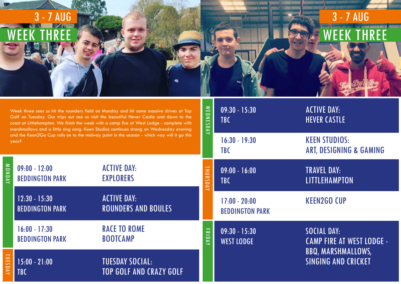MONDAY

TUESDAY



# WEEK THREE 3 - 7 AUG

# 09:30 - 15:30 ACTIVE DAY:

# WEST LODGE CAMP FIRE AT WEST LODGE -<br>BBQ, MARSHMALLOWS,<br>SINGING AND CRICKET

Week three sees us hit the rounders field on Monday and hit some massive drives at Top Golf on Tuesday. Our trips out see us visit the beautiful Hever Castle and down to the coast at Littlehampton. We finish the week with a camp fire at West Lodge - complete with marshmallows and a little sing song. Keen Studios continues strong on Wednesday evening and the Keen2Go Cup rolls on to the midway point in the season - which way will it go this year?

**TUESDAY SOCIAL:** 

TOP GOLF AND CRAZY GOLF

WEDNESDAY WEDNESDAY TBC **HEVER CASTLE** 16:30 - 19:30 KEEN STUDIOS: TBC ART, DESIGNING & GAMING 09:00 - 12:00 ACTIVE DAY: 09:00 - 16:00 TRAVEL DAY: THURSDAY **HURSDAY** BEDDINGTON PARK EXPLORERS TBC **LITTLEHAMPTON** 12:30 - 15:30 ACTIVE DAY: 17:00 - 20:00 KEEN2GO CUP BEDDINGTON PARK ROUNDERS AND BOULES BEDDINGTON PARK 16:00 - 17:30 RACE TO ROME FRIDAY 09:30 - 15:30 SOCIAL DAY: BEDDINGTON PARK BOOTCAMP

| $15:00 - 21:00$ |  |  |
|-----------------|--|--|
| <b>TBC</b>      |  |  |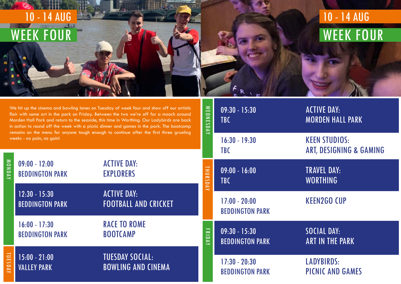

**WED** 

| We hit up the cinema and bowling lanes on Tuesday of week four and show off our artistic<br>flair with some art in the park on Friday. Between the two we're off for a mooch around<br>Morden Hall Park and return to the seaside, this time in Worthing. Our Ladybirds are back<br>in action to round off the week with a picnic dinner and games in the park. The bootcamp<br>remains on the menu for anyone tough enough to continue after the first three grueling |                                           |                                                     |                               | $09:30 - 15:30$<br><b>TBC</b>             |
|------------------------------------------------------------------------------------------------------------------------------------------------------------------------------------------------------------------------------------------------------------------------------------------------------------------------------------------------------------------------------------------------------------------------------------------------------------------------|-------------------------------------------|-----------------------------------------------------|-------------------------------|-------------------------------------------|
|                                                                                                                                                                                                                                                                                                                                                                                                                                                                        | weeks - no pain, no gain!                 | <b>DAY</b>                                          | $16:30 - 19:30$<br><b>TBC</b> |                                           |
| MONDAY                                                                                                                                                                                                                                                                                                                                                                                                                                                                 | $09:00 - 12:00$<br><b>BEDDINGTON PARK</b> | <b>ACTIVE DAY:</b><br><b>EXPLORERS</b>              | <b>THURSDAY</b>               | $09:00 - 16:00$<br><b>TBC</b>             |
|                                                                                                                                                                                                                                                                                                                                                                                                                                                                        | $12:30 - 15:30$<br><b>BEDDINGTON PARK</b> | <b>ACTIVE DAY:</b><br><b>FOOTBALL AND CRICKET</b>   |                               | $17:00 - 20:00$<br><b>BEDDINGTON PARK</b> |
|                                                                                                                                                                                                                                                                                                                                                                                                                                                                        | $16:00 - 17:30$<br><b>BEDDINGTON PARK</b> | <b>RACE TO ROME</b><br><b>BOOTCAMP</b>              | ERID<br>$\overline{X}$        | $09:30 - 15:30$<br><b>BEDDINGTON PARK</b> |
| TUES<br>DAY                                                                                                                                                                                                                                                                                                                                                                                                                                                            | $15:00 - 21:00$<br><b>VALLEY PARK</b>     | <b>TUESDAY SOCIAL:</b><br><b>BOWLING AND CINEMA</b> |                               | $17:30 - 20:30$<br><b>BEDDINGTON PARK</b> |

### WEEK FOUR 10 - 14 AUG

09:30 - 15:30 ACTIVE DAY: **MORDEN HALL PARK** 

### KEEN STUDIOS: ART, DESIGNING & GAMING

TRAVEL DAY: WORTHING

KEEN2GO CUP

SOCIAL DAY: **ART IN THE PARK** 

LADYBIRDS: PICNIC AND GAMES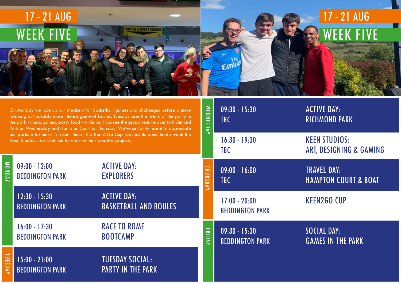|                                                                                                                                                                                                                                                                                                                                                                                                                                                                                                                                        | 17 - 21 AUG<br>WEEK FIVE                  | <b>CAUTION SLIPPERY SURFAC</b>                     |                                                                                                    |                                           |
|----------------------------------------------------------------------------------------------------------------------------------------------------------------------------------------------------------------------------------------------------------------------------------------------------------------------------------------------------------------------------------------------------------------------------------------------------------------------------------------------------------------------------------------|-------------------------------------------|----------------------------------------------------|----------------------------------------------------------------------------------------------------|-------------------------------------------|
| On Monday we lace up our sneakers for basketball games and challenges before a more<br>relaxing but possibly more intense game of boules. Tuesday sees the return of the party in<br>the park - music, games, party food - while our trips see the group venture over to Richmond<br>Park on Wednesday and Hampton Court on Thursday. We've certainly learnt to appreciate<br>our parks a lot more in recent times. The Keen2Go Cup reaches its penultimate week the<br>Keen Studios crew continue to work on their creative projects. |                                           |                                                    | $\leq$<br>$\overline{\phantom{0}}$<br>$\geq$<br>$\overline{\phantom{m}}$<br>$\sim$<br>D<br>$\prec$ | $09:30 - 15:30$<br><b>TBC</b>             |
|                                                                                                                                                                                                                                                                                                                                                                                                                                                                                                                                        |                                           |                                                    |                                                                                                    | $16:30 - 19:30$<br><b>TBC</b>             |
| <b>MONDAY</b>                                                                                                                                                                                                                                                                                                                                                                                                                                                                                                                          | $09:00 - 12:00$<br><b>BEDDINGTON PARK</b> | <b>ACTIVE DAY:</b><br><b>EXPLORERS</b>             | H <sub>1</sub><br>IRSDAY                                                                           | $09:00 - 16:00$<br><b>TBC</b>             |
|                                                                                                                                                                                                                                                                                                                                                                                                                                                                                                                                        | $12:30 - 15:30$<br><b>BEDDINGTON PARK</b> | <b>ACTIVE DAY:</b><br><b>BASKETBALL AND BOULES</b> |                                                                                                    | $17:00 - 20:00$<br><b>BEDDINGTON PARK</b> |
|                                                                                                                                                                                                                                                                                                                                                                                                                                                                                                                                        | $16:00 - 17:30$<br><b>BEDDINGTON PARK</b> | <b>RACE TO ROME</b><br><b>BOOTCAMP</b>             | FRIDAY                                                                                             | $09:30 - 15:30$<br><b>BEDDINGTON PARK</b> |
| <b>TUESDAY</b>                                                                                                                                                                                                                                                                                                                                                                                                                                                                                                                         | $15:00 - 21:00$<br><b>BEDDINGTON PARK</b> | <b>TUESDAY SOCIAL:</b><br><b>PARTY IN THE PARK</b> |                                                                                                    |                                           |

### WEEK FIVE 17 - 21 AUG

 $\overline{\phantom{a}}$ 

ACTIVE DAY: RICHMOND PARK

### KEEN STUDIOS: ART, DESIGNING & GAMING

TRAVEL DAY: HAMPTON COURT & BOAT

KEEN2GO CUP

SOCIAL DAY: **GAMES IN THE PARK**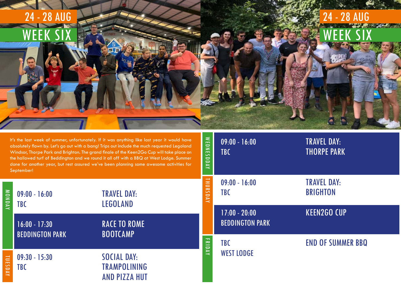09:00 - 16:00 TRAVEL DAY: TBC **THORPE PARK** 

> TRAVEL DAY: **BRIGHTON**

KEEN2GO CUP

END OF SUMMER BBQ

| 24 - 28 AUG                                                              |  |  |
|--------------------------------------------------------------------------|--|--|
| $\overline{\mathsf{C}}$<br>V<br>$\boldsymbol{V}$<br>'EE,<br>W,<br>Л<br>ш |  |  |
|                                                                          |  |  |
|                                                                          |  |  |
|                                                                          |  |  |

| MONDAY  | $09:00 - 16:00$<br><b>TBC</b>             | <b>THURSDAY</b><br><b>TRAVEL DAY:</b><br><b>LEGOLAND</b>          |        | $09:00 - 16:00$<br><b>TBC</b>             |
|---------|-------------------------------------------|-------------------------------------------------------------------|--------|-------------------------------------------|
|         | $16:00 - 17:30$<br><b>BEDDINGTON PARK</b> | <b>RACE TO ROME</b><br><b>BOOTCAMP</b>                            |        | $17:00 - 20:00$<br><b>BEDDINGTON PARK</b> |
|         |                                           |                                                                   | FRIDAY | <b>TBC</b>                                |
| TUESDAY | $09:30 - 15:30$<br><b>TBC</b>             | <b>SOCIAL DAY:</b><br><b>TRAMPOLINING</b><br><b>AND PIZZA HUT</b> |        | <b>WEST LODGE</b>                         |

## WEEK SIX 24 - 28 AUG

WEDNESDDAY

WEDNESDDAY

It's the last week of summer, unfortunately. If it was anything like last year it would have absolutely flown by. Let's go out with a bang! Trips out include the much requested Legoland Windsor, Thorpe Park and Brighton. The grand finale of the Keen2Go Cup will take place on the hallowed turf of Beddington and we round it all off with a BBQ at West Lodge. Summer done for another year, but rest assured we've been planning some awesome activities for September!